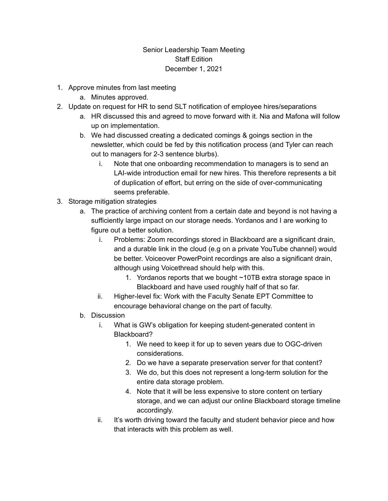## Senior Leadership Team Meeting Staff Edition December 1, 2021

- 1. Approve minutes from last meeting
	- a. Minutes approved.
- 2. Update on request for HR to send SLT notification of employee hires/separations
	- a. HR discussed this and agreed to move forward with it. Nia and Mafona will follow up on implementation.
	- b. We had discussed creating a dedicated comings & goings section in the newsletter, which could be fed by this notification process (and Tyler can reach out to managers for 2-3 sentence blurbs).
		- i. Note that one onboarding recommendation to managers is to send an LAI-wide introduction email for new hires. This therefore represents a bit of duplication of effort, but erring on the side of over-communicating seems preferable.
- 3. Storage mitigation strategies
	- a. The practice of archiving content from a certain date and beyond is not having a sufficiently large impact on our storage needs. Yordanos and I are working to figure out a better solution.
		- i. Problems: Zoom recordings stored in Blackboard are a significant drain, and a durable link in the cloud (e.g on a private YouTube channel) would be better. Voiceover PowerPoint recordings are also a significant drain, although using Voicethread should help with this.
			- 1. Yordanos reports that we bought ~10TB extra storage space in Blackboard and have used roughly half of that so far.
		- ii. Higher-level fix: Work with the Faculty Senate EPT Committee to encourage behavioral change on the part of faculty.
	- b. Discussion
		- i. What is GW's obligation for keeping student-generated content in Blackboard?
			- 1. We need to keep it for up to seven years due to OGC-driven considerations.
			- 2. Do we have a separate preservation server for that content?
			- 3. We do, but this does not represent a long-term solution for the entire data storage problem.
			- 4. Note that it will be less expensive to store content on tertiary storage, and we can adjust our online Blackboard storage timeline accordingly.
		- ii. It's worth driving toward the faculty and student behavior piece and how that interacts with this problem as well.